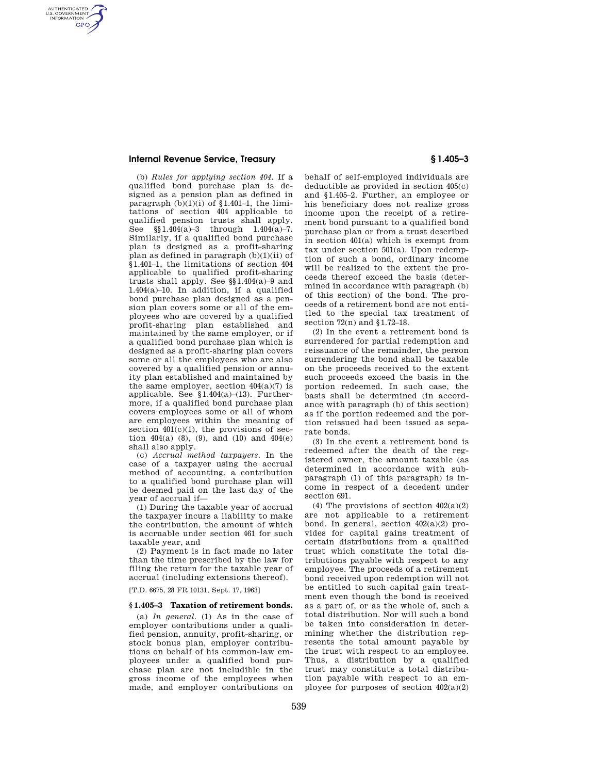## **Internal Revenue Service, Treasury § 1.405–3**

AUTHENTICATED<br>U.S. GOVERNMENT<br>INFORMATION **GPO** 

> (b) *Rules for applying section 404.* If a qualified bond purchase plan is designed as a pension plan as defined in paragraph  $(b)(1)(i)$  of §1.401–1, the limitations of section 404 applicable to qualified pension trusts shall apply. See §§1.404(a)–3 through 1.404(a)–7. Similarly, if a qualified bond purchase plan is designed as a profit-sharing plan as defined in paragraph  $(b)(1)(ii)$  of §1.401–1, the limitations of section 404 applicable to qualified profit-sharing trusts shall apply. See §§1.404(a)–9 and 1.404(a)–10. In addition, if a qualified bond purchase plan designed as a pension plan covers some or all of the employees who are covered by a qualified profit-sharing plan established and maintained by the same employer, or if a qualified bond purchase plan which is designed as a profit-sharing plan covers some or all the employees who are also covered by a qualified pension or annuity plan established and maintained by the same employer, section  $404(a)(7)$  is applicable. See  $$1.404(a)-(13)$ . Furthermore, if a qualified bond purchase plan covers employees some or all of whom are employees within the meaning of section  $401(c)(1)$ , the provisions of section  $404(a)$  (8), (9), and (10) and  $404(e)$ shall also apply.

> (c) *Accrual method taxpayers.* In the case of a taxpayer using the accrual method of accounting, a contribution to a qualified bond purchase plan will be deemed paid on the last day of the year of accrual if—

> (1) During the taxable year of accrual the taxpayer incurs a liability to make the contribution, the amount of which is accruable under section 461 for such taxable year, and

> (2) Payment is in fact made no later than the time prescribed by the law for filing the return for the taxable year of accrual (including extensions thereof).

[T.D. 6675, 28 FR 10131, Sept. 17, 1963]

## **§ 1.405–3 Taxation of retirement bonds.**

(a) *In general.* (1) As in the case of employer contributions under a qualified pension, annuity, profit-sharing, or stock bonus plan, employer contributions on behalf of his common-law employees under a qualified bond purchase plan are not includible in the gross income of the employees when made, and employer contributions on

behalf of self-employed individuals are deductible as provided in section 405(c) and §1.405–2. Further, an employee or his beneficiary does not realize gross income upon the receipt of a retirement bond pursuant to a qualified bond purchase plan or from a trust described in section 401(a) which is exempt from tax under section 501(a). Upon redemption of such a bond, ordinary income will be realized to the extent the proceeds thereof exceed the basis (determined in accordance with paragraph (b) of this section) of the bond. The proceeds of a retirement bond are not entitled to the special tax treatment of section 72(n) and §1.72–18.

(2) In the event a retirement bond is surrendered for partial redemption and reissuance of the remainder, the person surrendering the bond shall be taxable on the proceeds received to the extent such proceeds exceed the basis in the portion redeemed. In such case, the basis shall be determined (in accordance with paragraph (b) of this section) as if the portion redeemed and the portion reissued had been issued as separate bonds.

(3) In the event a retirement bond is redeemed after the death of the registered owner, the amount taxable (as determined in accordance with subparagraph (1) of this paragraph) is income in respect of a decedent under section 691.

(4) The provisions of section  $402(a)(2)$ are not applicable to a retirement bond. In general, section  $402(a)(2)$  provides for capital gains treatment of certain distributions from a qualified trust which constitute the total distributions payable with respect to any employee. The proceeds of a retirement bond received upon redemption will not be entitled to such capital gain treatment even though the bond is received as a part of, or as the whole of, such a total distribution. Nor will such a bond be taken into consideration in determining whether the distribution represents the total amount payable by the trust with respect to an employee. Thus, a distribution by a qualified trust may constitute a total distribution payable with respect to an employee for purposes of section  $402(a)(2)$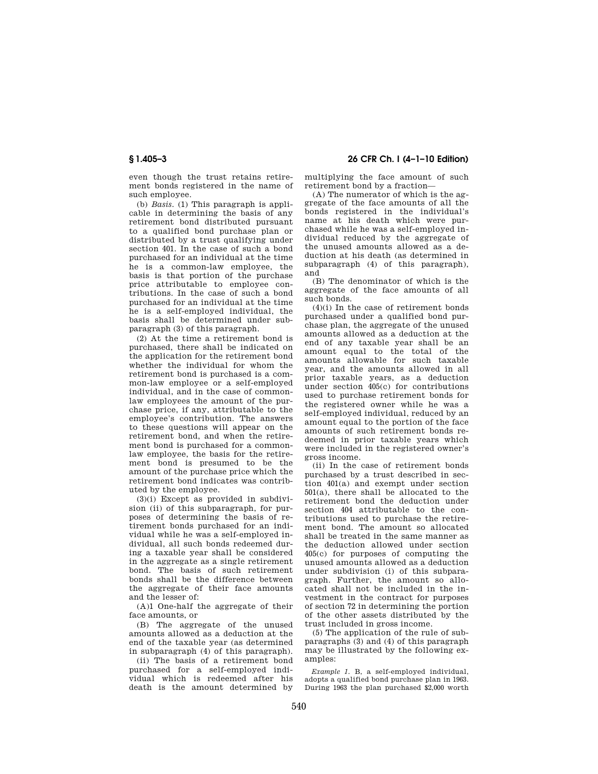even though the trust retains retirement bonds registered in the name of such employee.

(b) *Basis.* (1) This paragraph is applicable in determining the basis of any retirement bond distributed pursuant to a qualified bond purchase plan or distributed by a trust qualifying under section 401. In the case of such a bond purchased for an individual at the time he is a common-law employee, the basis is that portion of the purchase price attributable to employee contributions. In the case of such a bond purchased for an individual at the time he is a self-employed individual, the basis shall be determined under subparagraph (3) of this paragraph.

(2) At the time a retirement bond is purchased, there shall be indicated on the application for the retirement bond whether the individual for whom the retirement bond is purchased is a common-law employee or a self-employed individual, and in the case of commonlaw employees the amount of the purchase price, if any, attributable to the employee's contribution. The answers to these questions will appear on the retirement bond, and when the retirement bond is purchased for a commonlaw employee, the basis for the retirement bond is presumed to be the amount of the purchase price which the retirement bond indicates was contributed by the employee.

(3)(i) Except as provided in subdivision (ii) of this subparagraph, for purposes of determining the basis of retirement bonds purchased for an individual while he was a self-employed individual, all such bonds redeemed during a taxable year shall be considered in the aggregate as a single retirement bond. The basis of such retirement bonds shall be the difference between the aggregate of their face amounts and the lesser of:

(A)1 One-half the aggregate of their face amounts, or

(B) The aggregate of the unused amounts allowed as a deduction at the end of the taxable year (as determined in subparagraph (4) of this paragraph).

(ii) The basis of a retirement bond purchased for a self-employed individual which is redeemed after his death is the amount determined by

**§ 1.405–3 26 CFR Ch. I (4–1–10 Edition)** 

multiplying the face amount of such retirement bond by a fraction—

(A) The numerator of which is the aggregate of the face amounts of all the bonds registered in the individual's name at his death which were purchased while he was a self-employed individual reduced by the aggregate of the unused amounts allowed as a deduction at his death (as determined in subparagraph (4) of this paragraph), and

(B) The denominator of which is the aggregate of the face amounts of all such bonds.

 $(4)(i)$  In the case of retirement bonds purchased under a qualified bond purchase plan, the aggregate of the unused amounts allowed as a deduction at the end of any taxable year shall be an amount equal to the total of the amounts allowable for such taxable year, and the amounts allowed in all prior taxable years, as a deduction under section 405(c) for contributions used to purchase retirement bonds for the registered owner while he was a self-employed individual, reduced by an amount equal to the portion of the face amounts of such retirement bonds redeemed in prior taxable years which were included in the registered owner's gross income.

(ii) In the case of retirement bonds purchased by a trust described in section 401(a) and exempt under section 501(a), there shall be allocated to the retirement bond the deduction under section 404 attributable to the contributions used to purchase the retirement bond. The amount so allocated shall be treated in the same manner as the deduction allowed under section 405(c) for purposes of computing the unused amounts allowed as a deduction under subdivision (i) of this subparagraph. Further, the amount so allocated shall not be included in the investment in the contract for purposes of section 72 in determining the portion of the other assets distributed by the trust included in gross income.

(5) The application of the rule of subparagraphs (3) and (4) of this paragraph may be illustrated by the following examples:

*Example 1.* B, a self-employed individual, adopts a qualified bond purchase plan in 1963. During 1963 the plan purchased \$2,000 worth